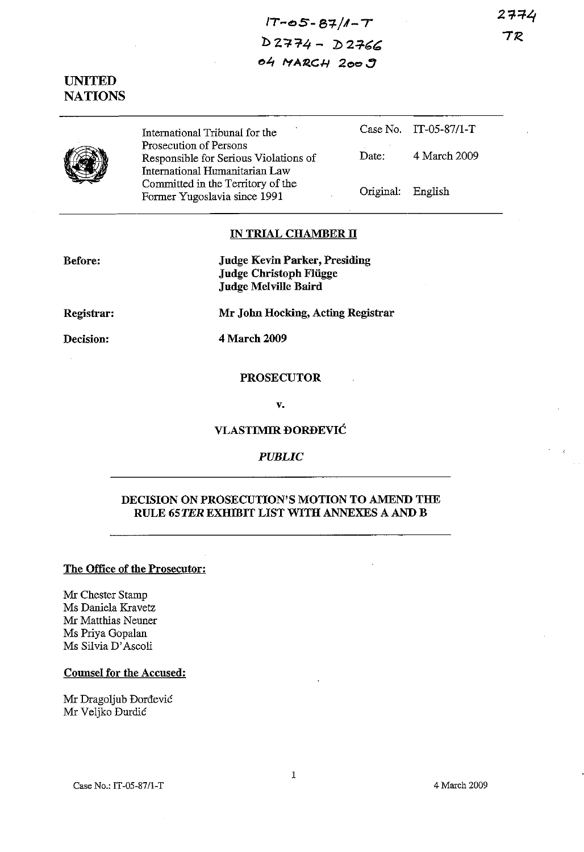2774 アア

# $17 - 05 - 87/1 - T$  $D$  2774 -  $D$  2766 04 MARCH 2009

UNITED **NATIONS** 



International Tribunal for the Prosecution of Persons Responsible for Serious Violations of International Humanitarian Law Committed in the Territory of the Fonner Yugoslavia since 1991 Case No. IT-05-87/I-T Date: 4 March 2009 Original: English

# IN TRIAL CHAMBER II

Mr John Hocking, Acting Registrar

Before:

Judge Kevin Parker, Presiding Judge Christoph Fliigge Judge Melville Baird

Registrar:

Decision:

4 March 2009

#### PROSECUTOR

v.

### VLASTIMIR ĐORĐEVIĆ

### *PUBLIC*

# DECISION ON PROSECUTION'S MOTION TO AMEND THE RULE 65TER EXHIBIT LIST WITH ANNEXES A AND B

### The Office of the Prosecutor:

Mr Chester Stamp Ms Daniela Kravetz Mr Matthias Neuner Ms Priya Gopalan Ms Silvia D' Ascoli

# Counsel for the Accused:

Mr Dragoljub Dordevic Mr Veljko Burdic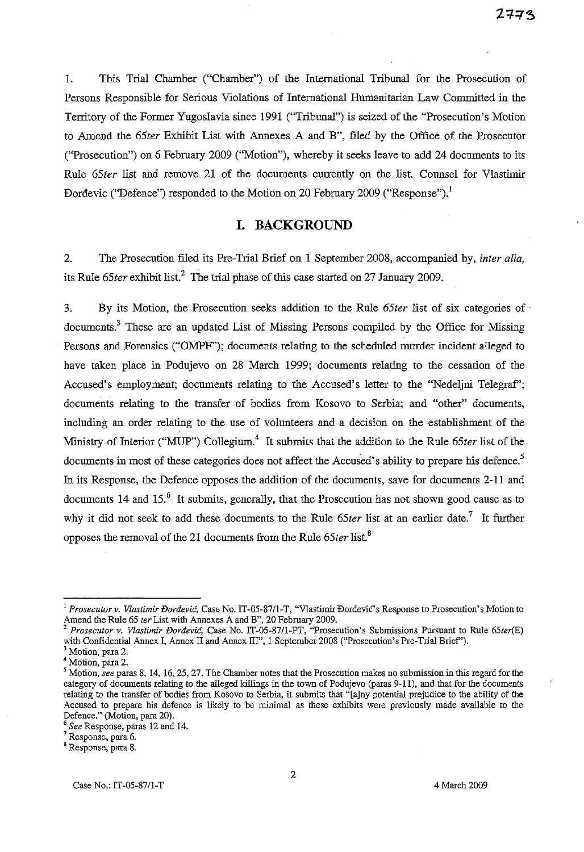1. This Trial Chamber ("Chamber") of the International Tribunal for the Prosecution of Persons Responsible for Serions Violations of International Humanitarian Law Committed in the Territory of the Former Yugoslavia since 1991 ("Tribunal") is seized of the "Prosecution's Motion to Amend the *65ter* Exhibit List with Annexes A and B", filed by the Office of the Prosecutor ("Prosecution") on 6 February 2009 ("Motion"), whereby it seeks leave to add 24 documents to its Rule *65ter* list and remove 21 of the documents currently on the list. Counsel for Vlastimir Dordevic ("Defence") responded to the Motion on 20 February 2009 ("Response").<sup>1</sup>

# **I. BACKGROUND**

2. The Prosecution filed its Pre-Trial Brief on 1 September 2008, accompanied by, *inter alia,* its Rule 65ter exhibit list.<sup>2</sup> The trial phase of this case started on 27 January 2009.

3. By its Motion, the Prosecution seeks addition to the Rule *65ter* list of six categories of . documents.<sup>3</sup> These are an updated List of Missing Persons compiled by the Office for Missing Persons and Forensics ("OMPF"); documents relating to the scheduled murder incident alleged to have taken place in Podujevo on 28 March 1999; documents relating to the cessation of the Accused's employment; documents relating to the Accused's letter to the "Nedeljni Telegraf"; documents relating to the transfer of bodies from Kosovo to Serbia; and "other" documents, including an order relating to the use of volunteers and a decision on the establishment of the Ministry of Interior ("MUP") Collegium.<sup>4</sup> It submits that the addition to the Rule 65ter list of the documents in most of these categories does not affect the Accused's ability to prepare his defence.<sup>5</sup> In its Response, the Defence opposes the addition of the documents, save for documents 2-11 and documents 14 and 15. $<sup>6</sup>$  It submits, generally, that the Prosecution has not shown good cause as to</sup> why it did not seek to add these documents to the Rule *65ter* list at an earlier date," It further opposes the removal of the 21 documents from the Rule 65ter list.<sup>8</sup>

<sup>2</sup> *Prosecutor v. Vlastimir Dordevic,* Case No. IT-05-87/l-PT, "Prosecution's Submissions Pursnaot to Rule *65ter(E)* with Confidential Annex I, Annex II and Annex III", 1 September 2008 ("Prosecution's Pre-Trial Brief").

**<sup>1</sup>** *Prosecutor* **v.** *Vlastimir Dordevid,* **Case No. IT***-05-8711-***T,** "Vlastimir Dordevic's **Response to Prosecution's Motion to** Amend the Rule 65 *ter* List with Annexes A and B", 20 February 2009.

**<sup>3</sup> Motion, para 2.**

**<sup>4</sup> Motion,para 2.**

**<sup>5</sup> Motion,***see* **paras 8, 14, 16,25,27. The Chamber notes thattheProsecution makes no submissionin this regard for the** category of documents relating to the alleged killings in the town of Podujevo (paras 9-11), and that for the documents relating to the transfer of bodies from Kosovo to Serbia, it submits that "[a]ny potential prejudice to the ability of the **Accused to prepare his defence is likely to be minimal as these exhibits were previously made available to the** Defence." (Motion, para 20).

*<sup>6</sup> See* Response, paras 12 aod 14.

**<sup>7</sup> Response, para 6.**

<sup>8</sup> **Response,para 8.**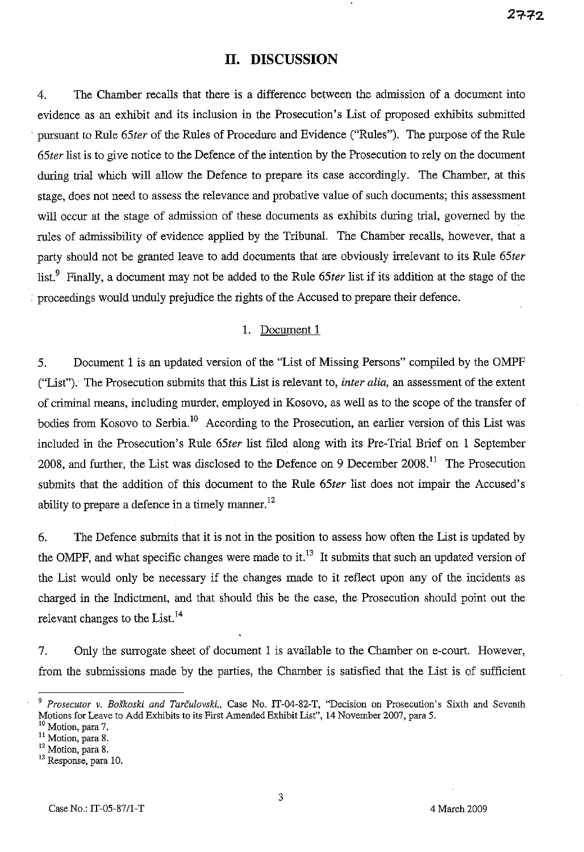# **II. DISCUSSION**

4. The Chamber recalls that there is a difference between the admission of a document into evidence as an exhibit and its inclusion in the Prosecution's List of proposed exhibits submitted '. pursuant to Rule *65ter* of the Rules of Procedure and Evidence ("Rules"). The purpose of the Rule *65ter* list is to give notice to the Defence of the intention by the Prosecution to rely on the document during trial which will allow the Defence to prepare its case accordingly. The Chamber, at this stage, does not need to assess the relevance and probative value of such documents; this assessment will occur at the stage of admission of these documents as exhibits during trial, governed by the rules of admissibility of evidence applied by the Tribunal. The Chamber recalls, however, that a party should not be granted leave to add documents that are obviously irrelevant to its Rule *65ter* list.<sup>9</sup> Finally, a document may not be added to the Rule *65ter* list if its addition at the stage of the , proceedings would unduly prejudice the rights of the Accused to prepare their defence.

# 1. Document 1

5. Document I is an updated version of the "List of Missing Persons" compiled by the OMPF ("List"). The Prosecution submits that this List is relevant to, *inter alia,* an assessment of the extent of criminal means, including murder, employed in Kosovo, as well as to the scope of the transfer of bodies from Kosovo to Serbia.<sup>10</sup> According to the Prosecution, an earlier version of this List was included in the Prosecution's Rule *65ter* list filed along with its Pre-Trial Brief on 1 September 2008, and further, the List was disclosed to the Defence on 9 December 2008.<sup>11</sup> The Prosecution submits that the addition of this document to the Rule *65ter* list does not impair the Accused's ability to prepare a defence in a timely manner.<sup>12</sup>

6. The Defence submits that it is not in the position to assess how often the List is updated by the OMPF, and what specific changes were made to it.<sup>13</sup> It submits that such an updated version of the List would only be necessary if the changes made to it reflect upon any of the incidents as charged in the Indictment, and that should this be the case, the Prosecution should point out the relevant changes to the List.<sup>14</sup>

7. Only the surrogate sheet of document I is available to the Chamber on e-court, However, from the submissions made by the parties, the Chamber is satisfied that the List is of sufficient

*<sup>9</sup> Prosecutor* v. *Boskoski and Tarculovski.,* Case No. IT-04-82-T, "Decision on Prosecution's Sixth aud Seventh Motions for Leave to Add Exhibits to its First Amended Exhibit List", 14 November 2007, para 5.

<sup>&</sup>lt;sup>10</sup> Motion, para 7.

<sup>&</sup>lt;sup>11</sup> Motion, para 8.

<sup>&</sup>lt;sup>12</sup> Motion, para 8.

<sup>&</sup>lt;sup>13</sup> Response, para 10.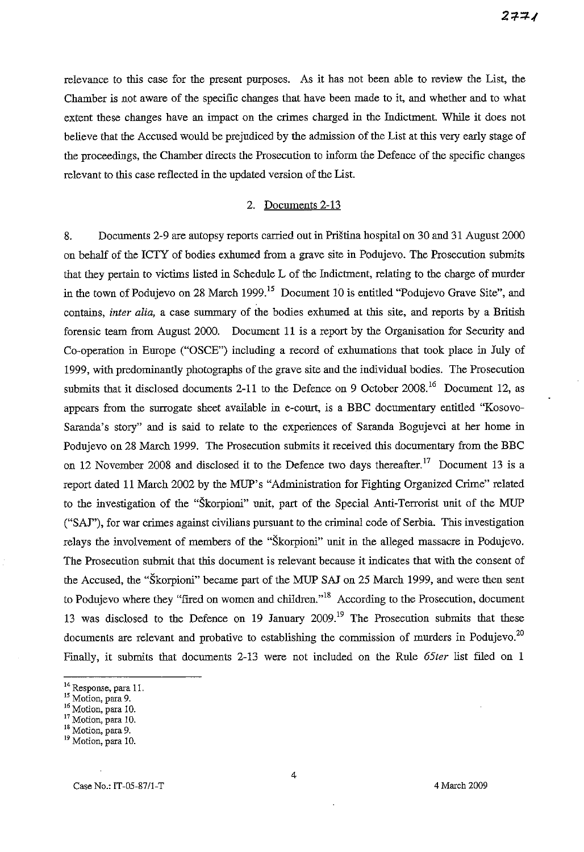relevance to this case for the present purposes. As it has not been able to review the List, the Chamber is not aware of the specific changes that have been made to it, and whether and to what extent these changes have an impact on the crimes charged in the Indictment. While it does not believe that the Accused would be prejudiced by the admission of the List at this very early stage of the proceedings, the Chamber directs the Prosecution to inform the Defence of the specific changes relevant to this case reflected in the updated version of the List.

#### 2. Documents 2-13

8. Documents 2-9 are autopsy reports carried out in Pristina hospital on 30 and 31 August 2000 on behalf of the ICTY of bodies exhumed from a grave site in Podujevo. The Prosecution submits that they pertain to victims listed in Schedule L of the Indictment, relating to the charge of murder in the town of Podujevo on 28 March 1999.<sup>15</sup> Document 10 is entitled "Podujevo Grave Site", and contains, *inter alia,* a case summary of the bodies exhumed at this site, and reports by a British forensic team from August 2000. Document 11 is a report by the Organisation for Security and Co-operation in Europe ("OSCE") including a record of exhumations that took place in July of 1999, with predominantly photographs of the grave site and the individual bodies. The Prosecution submits that it disclosed documents 2-11 to the Defence on 9 October 2008.<sup>16</sup> Document 12, as appears from the surrogate sheet available in e-court, is a BBC documentary entitled "Kosovo-Saranda's story" and is said to relate to the experiences of Saranda Bogujevci at her home in Podujevo on 28 March 1999. The Prosecution submits it received this documentary from the BBC on 12 November 2008 and disclosed it to the Defence two days thereafter.<sup>17</sup> Document 13 is a report dated 11 March 2002 by the MUP's "Administration for Fighting Organized Crime" related to the investigation of the "Skorpioni" unit, part of the Special Anti-Terrorist unit of the MUP ("SA!"), for war crimes against civilians pursuant to the criminal code of Serbia. This investigation relays the involvement of members of the "Skorpioni" unit in the alleged massacre in Podujevo. The Prosecution submit that this document is relevant because it indicates that with the consent of the Accused, the "Skorpioni" became part of the MUP SAJ on 25 March 1999, and were then sent to Podujevo where they "fired on women and children."<sup>18</sup> According to the Prosecution, document 13 was disclosed to the Defence on 19 January 2009.<sup>19</sup> The Prosecution submits that these documents are relevant and probative to establishing the commission of murders in Podujevo. $^{20}$ Finally, it submits that documents 2-13 were not included on the Rule *65ter* list filed on 1

<sup>14</sup> Response, para 11.

**<sup>15</sup> Motion, para 9.**

<sup>&</sup>lt;sup>16</sup> Motion, para 10.

<sup>17</sup> Motion, para 10.

**IS** *Motion,***para 9.**

<sup>19</sup> Motion, para 10.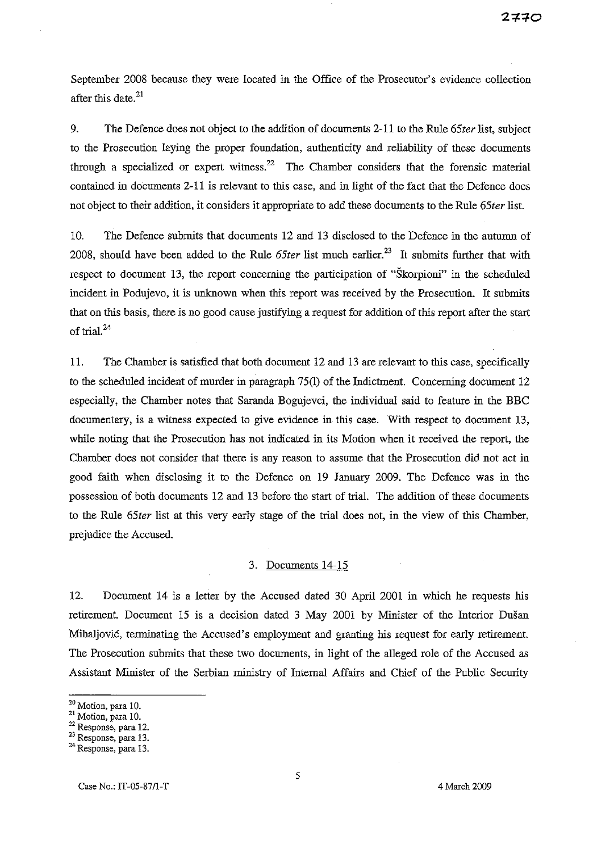September 2008 because they were located in the Office of the Prosecutor's evidence collection after this date. $21$ 

9. The Defence does not object to the addition of documents 2-11 to the Rule *65ter* list, subject to the Prosecution laying the proper foundation, authenticity and reliability of these documents through a specialized or expert witness.<sup>22</sup> The Chamber considers that the forensic material contained in documents 2-11 is relevant to this case, and in light of the fact that the Defence does not object to their addition, it considers it appropriate to add these documents to the Rule *65ter* list.

10. The Defence submits that documents 12 and 13 disclosed to the Defence in the autnmn of 2008, should have been added to the Rule 65ter list much earlier.<sup>23</sup> It submits further that with respect to document 13, the report concerning the participation of "Skorpioni" in the scheduled incident in Podujevo, it is unknown when this report was received by the Prosecution. It submits that on this basis, there is no good cause justifying a request for addition of this report after the start of trial. $^{24}$ 

11. The Chamber is satisfied that both document 12 and 13 are relevant to this case, specifically to the scheduled incident of murder in paragraph 75(1) of the Indictment. Concerning document 12 especially, the Chamber notes that Saranda Bogujevci, the individual said to feature in the BBC documentary, is a witness expected to give evidence in this case. With respect to document 13, while noting that the Prosecution has not indicated in its Motion when it received the report, the Chamber does not consider that there is any reason to assume that the Prosecution did not act in good faith when disclosing it to the Defence on 19 January 2009. The Defence was in the possession of both documents 12 and 13 before the start of trial. The addition of these documents to the Rule *65ter* list at this very early stage of the trial does not, in the view of this Chamber, prejudice the Accused.

#### 3. Documents 14-15

12. Document 14 is a letter by the Accused dated 30 April 2001 in which he requests his retirement. Document 15 is a decision dated 3 May 2001 by Minister of the Interior Dusan Mihaljovic, terminating the Accused's employment and granting his request for early retirement. The Prosecution submits that these two documents, in light of the alleged role of the Accused as Assistant Minister of the Serbian ministry of Internal Affairs and Chief of the Public Security

**<sup>20</sup> Motion,para 10.**

 $^{21}$  Motion, para 10.

<sup>22</sup> **Response, para 12.**

<sup>23</sup> Response, para 13.

**<sup>24</sup> Response, para13.**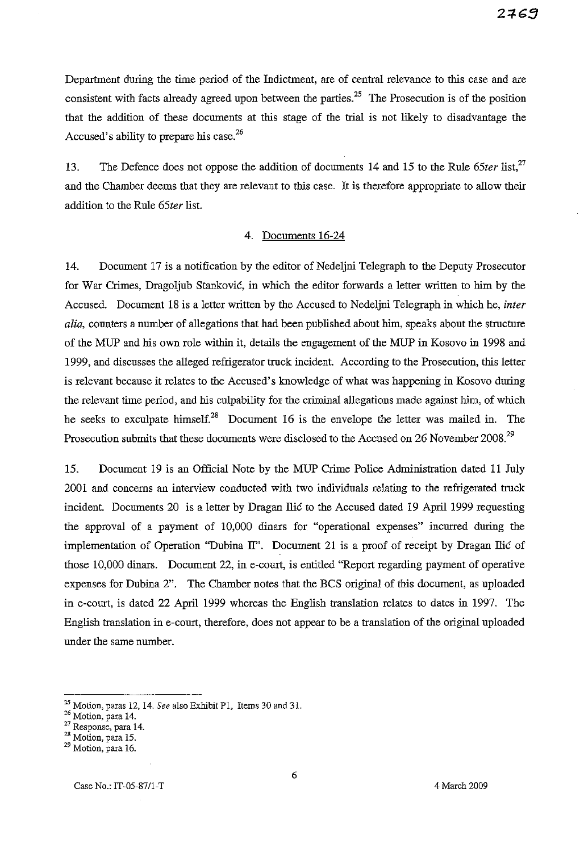Department during the time period of the Indictment, are of central relevance to this case and are consistent with facts already agreed upon between the parties.<sup>25</sup> The Prosecution is of the position that the addition of these documents at this stage of the trial is not likely to disadvantage the Accused's ability to prepare his case.<sup>26</sup>

13. The Defence does not oppose the addition of documents 14 and 15 to the Rule 65ter list,<sup>27</sup> and the Chamber deems that they are relevant to this case. It is therefore appropriate to allow their addition to the Rule *65ter* list.

### 4. Documents 16-24

14. Document 17 is a notification by the editor of Nedeljni Telegraph to the Deputy Prosecutor for War Crimes, Dragoljub Stankovic, in which the editor forwards a letter written to him by the Accused. Document 18 is a letter written by the Accused to Nedeljni Telegraph in which he, *inter alia,* counters a number of allegations that had been published about him, speaks about the structure of the MUP and his own role within it, details the engagement of the MUP in Kosovo in 1998 and 1999, and discusses the alleged refrigerator truck incident. According to the Prosecution, this letter is relevant because it relates to the Accused's knowledge of what was happening in Kosovo during the relevant time period, and his culpability for the criminal allegations made against him, of which he seeks to exculpate himself. $28$  Document 16 is the envelope the letter was mailed in. The Prosecution submits that these documents were disclosed to the Accused on 26 November 2008.<sup>29</sup>

15. Document 19 is an Official Note by the MUP Crime Police Administration dated 11 July 2001 and concerns an interview conducted with two individuals relating to the refrigerated truck incident. Documents 20 is a letter by Dragan Ilic to the Accused dated 19 April 1999 requesting the approval of a payment of 10,000 dinars for "operational expenses" incurred during the implementation of Operation "Dubina II". Document 21 is a proof of receipt by Dragan Ilic of those 10,000 dinars. Document 22, in e-court, is entitled "Report regarding payment of operative expenses for Dubina 2". The Chamber notes that the BCS original of this document, as uploaded in e-court, is dated 22 April 1999 whereas the English translation relates to dates in 1997. The English translation in e-court, therefore, does not appear to be a translation of the original uploaded under the same number.

 $^{25}$  Motion, paras 12, 14. See also Exhibit P1, Items 30 and 31.

**<sup>26</sup> Motion, para 14.**

**<sup>27</sup> Response, para 14.**

**<sup>28</sup> Motion,para 15.**

**<sup>29</sup> Motion, para 16.**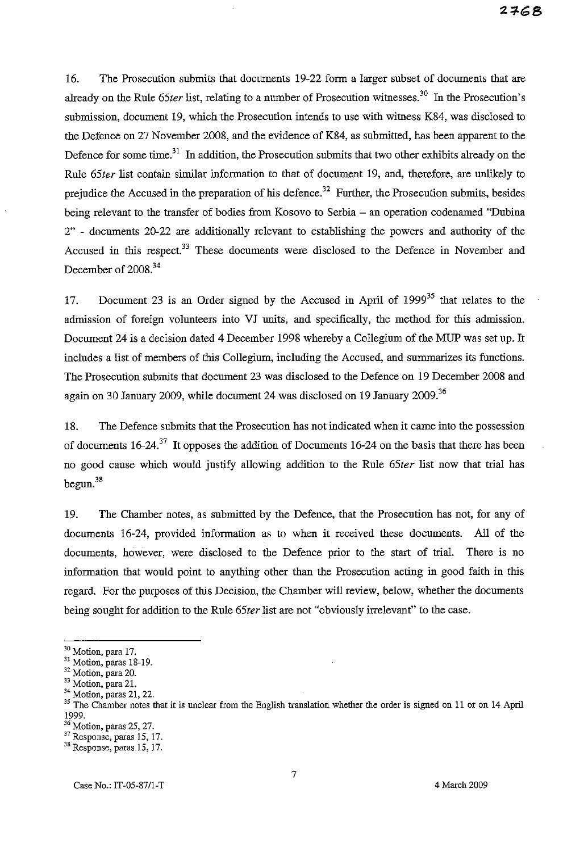16. The Prosecution submits that documents 19-22 form a larger subset of documents that are already on the Rule 65ter list, relating to a number of Prosecution witnesses.<sup>30</sup> In the Prosecution's submission, document 19, which the Prosecution intends to use with witness K84, was disclosed to the Defence on 27 November 2008, and the evidence of K84, as submitted, has been apparent to the Defence for some time.<sup>31</sup> In addition, the Prosecution submits that two other exhibits already on the Rule *65ter* list contain similar information to that of document 19, and, therefore, are unlikely to prejudice the Accused in the preparation of his defence.<sup>32</sup> Further, the Prosecution submits, besides being relevant to the transfer of bodies from Kosovo to Serbia - an operation codenamed "Dubina 2" - documents 20-22 are additionally relevant to establishing the powers and authority of the Accused in this respect.<sup>33</sup> These documents were disclosed to the Defence in November and December of 2008.<sup>34</sup>

17. Document 23 is an Order signed by the Accused in April of  $1999^{35}$  that relates to the admission of foreign volunteers into VJ units, and specifically, the method for this admission. Document 24 is a decision dated 4 December 1998 whereby a Collegium of the MUP was set up. It includes a list of members of this Collegium, including the Accused, and summarizes its functions. The Prosecution submits that document 23 was disclosed to the Defence on 19 December 2008 and again on 30 January 2009, while document 24 was disclosed on 19 January 2009.<sup>36</sup>

18. The Defence submits that the Prosecution has not indicated when it came into the possession of documents  $16-24.37$  It opposes the addition of Documents 16-24 on the basis that there has been no good cause which would justify allowing addition to the Rule *65ter* list now that trial has  $begin{bmatrix} 38 \\ 20 \end{bmatrix}$ 

19. The Chamber notes, as submitted by the Defence, that the Prosecution has not, for any of documents 16-24, provided information as to when it received these documents. All of the documents, however, were disclosed to the Defence prior to the start of trial. There is no information that would point to anything other than the Prosecution acting in good faith in this regard. For the purposes of this Decision, the Chamber will review, below, whether the documents being sought for addition to the Rule *65ter* list are not "obviously irrelevant" to the case.

**<sup>30</sup> Motion,para17.**

<sup>31</sup> Motion, paras 18-19.

<sup>32</sup> Motion, para 20.

<sup>&</sup>lt;sup>33</sup> Motion, para 21.

<sup>34</sup> Motion, paras 21, 22.

<sup>&</sup>lt;sup>35</sup> The Chamber notes that it is unclear from the English translation whether the order is signed on 11 or on 14 April 1999.

<sup>36</sup> Motion, paras 25, 27.

<sup>37</sup> Response, paras 15, 17.

<sup>38</sup> Response, paras 15, 17.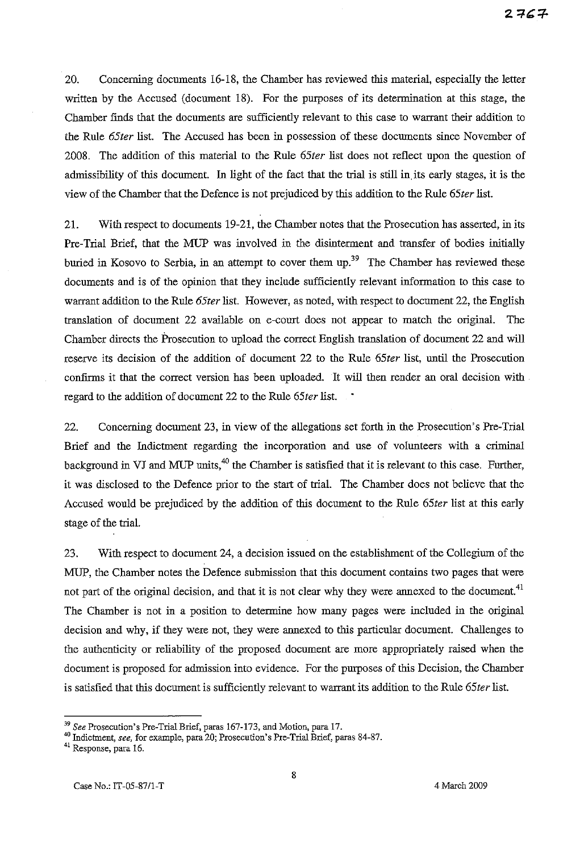20. Concerning documents 16-18, the Chamber has reviewed this material, especially the letter written by the Accused (document 18). For the purposes of its determination at this stage, the Chamber finds that the documents are sufficiently relevant to this case to warrant their addition to the Rule *65ter* list. The Accused has been in possession of these documents since November of 2008. The addition of this material to the Rule *65ter* list does not reflect upon the question of admissibility of this document. In light of the fact that the trial is still in. its early stages, it is the view of the Chamber that the Defence is not prejudiced by this addition to the Rule *65ter* list.

21. With respect to documents 19-21, the Chamber notes that the Prosecution has asserted, in its Pre-Trial Brief, that the MUP was involved in the disinterment and transfer of bodies initially buried in Kosovo to Serbia, in an attempt to cover them up.<sup>39</sup> The Chamber has reviewed these documents and is of the opinion that they include sufficiently relevant information to this case to warrant addition to the Rule *65ter* list. However, as noted, with respect to document 22, the English translation of document 22 available on e-court does not appear to match the original. The Chamber directs the Prosecution to upload the correct English translation of document 22 and will reserve its decision of the addition of document 22 to the Rule *65ter* list, until the Prosecution confirms it that the correct version has been uploaded. It will then render an oral decision with regard to the addition of document 22 to the Rule *65ter* list.

22. Concerning document 23, in view of the allegations set forth in the Prosecution's Pre-Trial Brief and the Indictment regarding the incorporation and use of volunteers with a criminal background in VJ and MUP units,<sup>40</sup> the Chamber is satisfied that it is relevant to this case. Further, it was disclosed to the Defence prior to the start of trial. The Chamber does not believe that the Accused would be prejudiced by the addition of this document to the Rule *65ter* list at this early stage of the trial.

23. With respect to document 24, a decision issued on the establishment of the Collegium of the MUP, the Chamber notes the Defence submission that this document contains two pages that were not part of the original decision, and that it is not clear why they were annexed to the document.<sup>41</sup> The Chamber is not in a position to determine how many pages were included in the original decision and why, if they were not, they were annexed to this particular document. Challenges to the authenticity or reliability of the proposed document are more appropriately raised when the document is proposed for admission into evidence. For the purposes of this Decision, the Chamber is satisfied that this document is sufficiently relevant to warrant its addition to the Rule *65ter* list.

*<sup>39</sup> See* Prosecution's Pre-Trial Brief, paras 167-173, and Motion, para 17.

**<sup>40</sup> Indictment, see, for example, para 20; Prosecution's Pre-Trial Brief,paras 84-87.**

**<sup>41</sup> Response, para 16.**